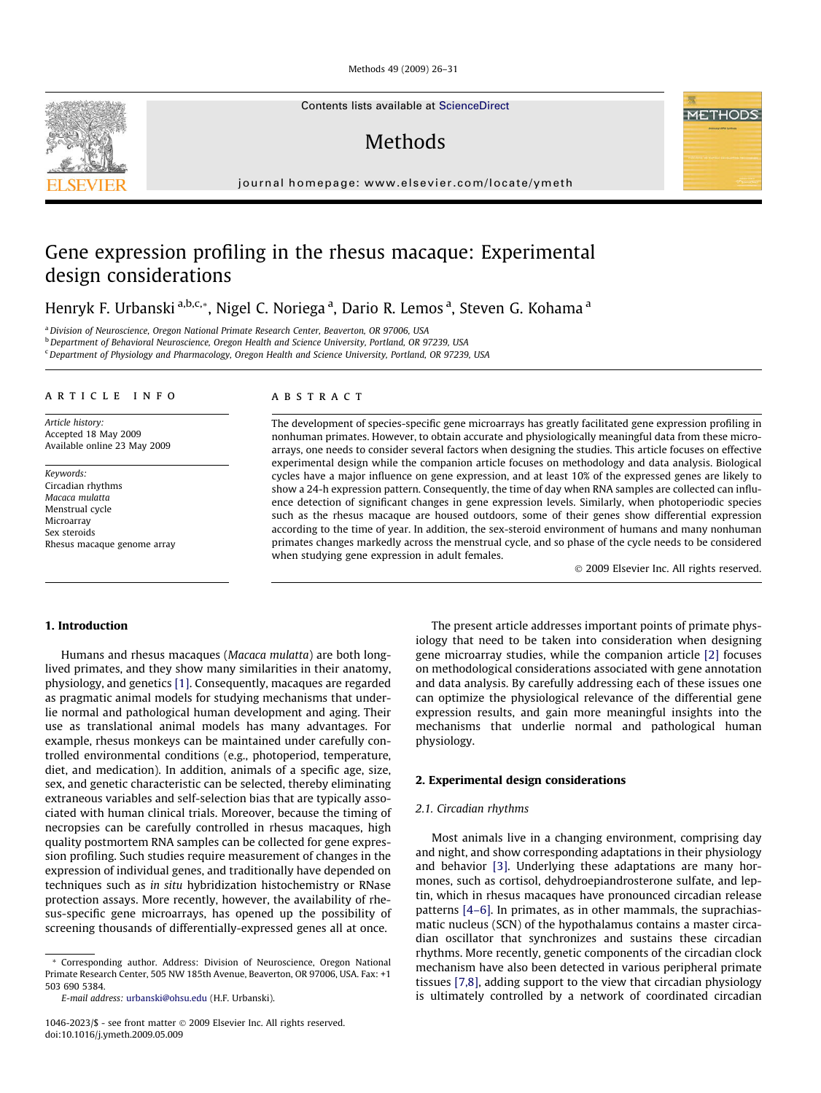Methods 49 (2009) 26–31

Contents lists available at [ScienceDirect](http://www.sciencedirect.com/science/journal/10462023)

# **Methods**

journal homepage: [www.elsevier.com/locate/ymeth](http://www.elsevier.com/locate/ymeth)

# Gene expression profiling in the rhesus macaque: Experimental design considerations

Henryk F. Urbanski <sup>a,b,c,</sup>\*, Nigel C. Noriega <sup>a</sup>, Dario R. Lemos <sup>a</sup>, Steven G. Kohama <sup>a</sup>

<sup>a</sup> Division of Neuroscience, Oregon National Primate Research Center, Beaverton, OR 97006, USA

<sup>b</sup> Department of Behavioral Neuroscience, Oregon Health and Science University, Portland, OR 97239, USA

<sup>c</sup> Department of Physiology and Pharmacology, Oregon Health and Science University, Portland, OR 97239, USA

#### article info

Article history: Accepted 18 May 2009 Available online 23 May 2009

Keywords: Circadian rhythms Macaca mulatta Menstrual cycle Microarray Sex steroids Rhesus macaque genome array

## ABSTRACT

The development of species-specific gene microarrays has greatly facilitated gene expression profiling in nonhuman primates. However, to obtain accurate and physiologically meaningful data from these microarrays, one needs to consider several factors when designing the studies. This article focuses on effective experimental design while the companion article focuses on methodology and data analysis. Biological cycles have a major influence on gene expression, and at least 10% of the expressed genes are likely to show a 24-h expression pattern. Consequently, the time of day when RNA samples are collected can influence detection of significant changes in gene expression levels. Similarly, when photoperiodic species such as the rhesus macaque are housed outdoors, some of their genes show differential expression according to the time of year. In addition, the sex-steroid environment of humans and many nonhuman primates changes markedly across the menstrual cycle, and so phase of the cycle needs to be considered when studying gene expression in adult females.

- 2009 Elsevier Inc. All rights reserved.

### 1. Introduction

Humans and rhesus macaques (Macaca mulatta) are both longlived primates, and they show many similarities in their anatomy, physiology, and genetics [\[1\]](#page-4-0). Consequently, macaques are regarded as pragmatic animal models for studying mechanisms that underlie normal and pathological human development and aging. Their use as translational animal models has many advantages. For example, rhesus monkeys can be maintained under carefully controlled environmental conditions (e.g., photoperiod, temperature, diet, and medication). In addition, animals of a specific age, size, sex, and genetic characteristic can be selected, thereby eliminating extraneous variables and self-selection bias that are typically associated with human clinical trials. Moreover, because the timing of necropsies can be carefully controlled in rhesus macaques, high quality postmortem RNA samples can be collected for gene expression profiling. Such studies require measurement of changes in the expression of individual genes, and traditionally have depended on techniques such as in situ hybridization histochemistry or RNase protection assays. More recently, however, the availability of rhesus-specific gene microarrays, has opened up the possibility of screening thousands of differentially-expressed genes all at once.

\* Corresponding author. Address: Division of Neuroscience, Oregon National Primate Research Center, 505 NW 185th Avenue, Beaverton, OR 97006, USA. Fax: +1 503 690 5384.

E-mail address: [urbanski@ohsu.edu](mailto:urbanski@ohsu.edu) (H.F. Urbanski).

The present article addresses important points of primate physiology that need to be taken into consideration when designing gene microarray studies, while the companion article [\[2\]](#page-4-0) focuses on methodological considerations associated with gene annotation and data analysis. By carefully addressing each of these issues one can optimize the physiological relevance of the differential gene expression results, and gain more meaningful insights into the mechanisms that underlie normal and pathological human physiology.

#### 2. Experimental design considerations

#### 2.1. Circadian rhythms

Most animals live in a changing environment, comprising day and night, and show corresponding adaptations in their physiology and behavior [\[3\]](#page-4-0). Underlying these adaptations are many hormones, such as cortisol, dehydroepiandrosterone sulfate, and leptin, which in rhesus macaques have pronounced circadian release patterns [\[4–6\]](#page-4-0). In primates, as in other mammals, the suprachiasmatic nucleus (SCN) of the hypothalamus contains a master circadian oscillator that synchronizes and sustains these circadian rhythms. More recently, genetic components of the circadian clock mechanism have also been detected in various peripheral primate tissues [\[7,8\]](#page-4-0), adding support to the view that circadian physiology is ultimately controlled by a network of coordinated circadian

<span id="page-0-0"></span>

<sup>1046-2023/\$ -</sup> see front matter @ 2009 Elsevier Inc. All rights reserved. doi:10.1016/j.ymeth.2009.05.009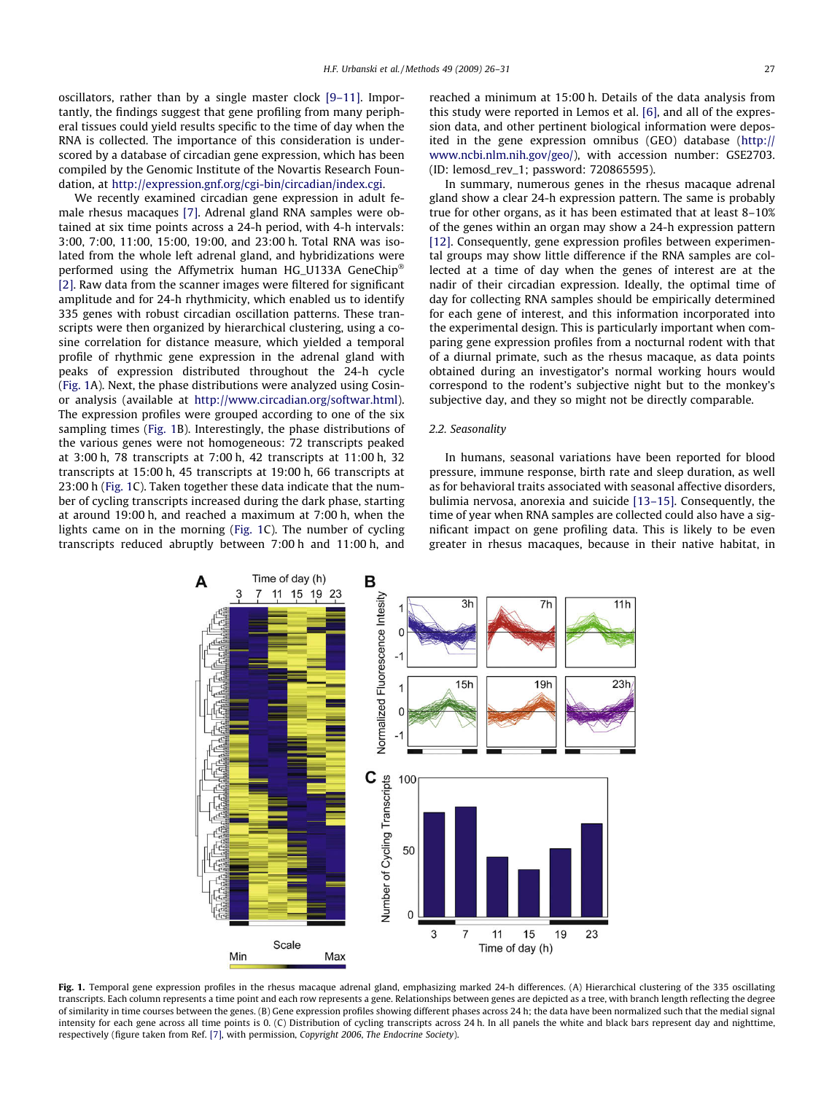oscillators, rather than by a single master clock [\[9–11\]](#page-4-0). Importantly, the findings suggest that gene profiling from many peripheral tissues could yield results specific to the time of day when the RNA is collected. The importance of this consideration is underscored by a database of circadian gene expression, which has been compiled by the Genomic Institute of the Novartis Research Foundation, at [http://expression.gnf.org/cgi-bin/circadian/index.cgi.](http://expression.gnf.org/cgi-bin/circadian/index.cgi)

We recently examined circadian gene expression in adult female rhesus macaques [\[7\].](#page-4-0) Adrenal gland RNA samples were obtained at six time points across a 24-h period, with 4-h intervals: 3:00, 7:00, 11:00, 15:00, 19:00, and 23:00 h. Total RNA was isolated from the whole left adrenal gland, and hybridizations were performed using the Affymetrix human HG\_U133A GeneChip [\[2\]](#page-4-0). Raw data from the scanner images were filtered for significant amplitude and for 24-h rhythmicity, which enabled us to identify 335 genes with robust circadian oscillation patterns. These transcripts were then organized by hierarchical clustering, using a cosine correlation for distance measure, which yielded a temporal profile of rhythmic gene expression in the adrenal gland with peaks of expression distributed throughout the 24-h cycle (Fig. 1A). Next, the phase distributions were analyzed using Cosinor analysis (available at [http://www.circadian.org/softwar.html\)](http://www.circadian.org/softwar.html). The expression profiles were grouped according to one of the six sampling times (Fig. 1B). Interestingly, the phase distributions of the various genes were not homogeneous: 72 transcripts peaked at 3:00 h, 78 transcripts at 7:00 h, 42 transcripts at 11:00 h, 32 transcripts at 15:00 h, 45 transcripts at 19:00 h, 66 transcripts at 23:00 h (Fig. 1C). Taken together these data indicate that the number of cycling transcripts increased during the dark phase, starting at around 19:00 h, and reached a maximum at 7:00 h, when the lights came on in the morning (Fig. 1C). The number of cycling transcripts reduced abruptly between 7:00 h and 11:00 h, and reached a minimum at 15:00 h. Details of the data analysis from this study were reported in Lemos et al. [\[6\],](#page-4-0) and all of the expression data, and other pertinent biological information were deposited in the gene expression omnibus (GEO) database ([http://](http://www.ncbi.nlm.nih.gov/geo/) [www.ncbi.nlm.nih.gov/geo/](http://www.ncbi.nlm.nih.gov/geo/)), with accession number: GSE2703. (ID: lemosd\_rev\_1; password: 720865595).

In summary, numerous genes in the rhesus macaque adrenal gland show a clear 24-h expression pattern. The same is probably true for other organs, as it has been estimated that at least 8–10% of the genes within an organ may show a 24-h expression pattern [\[12\]](#page-4-0). Consequently, gene expression profiles between experimental groups may show little difference if the RNA samples are collected at a time of day when the genes of interest are at the nadir of their circadian expression. Ideally, the optimal time of day for collecting RNA samples should be empirically determined for each gene of interest, and this information incorporated into the experimental design. This is particularly important when comparing gene expression profiles from a nocturnal rodent with that of a diurnal primate, such as the rhesus macaque, as data points obtained during an investigator's normal working hours would correspond to the rodent's subjective night but to the monkey's subjective day, and they so might not be directly comparable.

#### 2.2. Seasonality

In humans, seasonal variations have been reported for blood pressure, immune response, birth rate and sleep duration, as well as for behavioral traits associated with seasonal affective disorders, bulimia nervosa, anorexia and suicide [\[13–15\]](#page-4-0). Consequently, the time of year when RNA samples are collected could also have a significant impact on gene profiling data. This is likely to be even greater in rhesus macaques, because in their native habitat, in



Fig. 1. Temporal gene expression profiles in the rhesus macaque adrenal gland, emphasizing marked 24-h differences. (A) Hierarchical clustering of the 335 oscillating transcripts. Each column represents a time point and each row represents a gene. Relationships between genes are depicted as a tree, with branch length reflecting the degree of similarity in time courses between the genes. (B) Gene expression profiles showing different phases across 24 h; the data have been normalized such that the medial signal intensity for each gene across all time points is 0. (C) Distribution of cycling transcripts across 24 h. In all panels the white and black bars represent day and nighttime, respectively (figure taken from Ref. [\[7\],](#page-4-0) with permission, Copyright 2006, The Endocrine Society).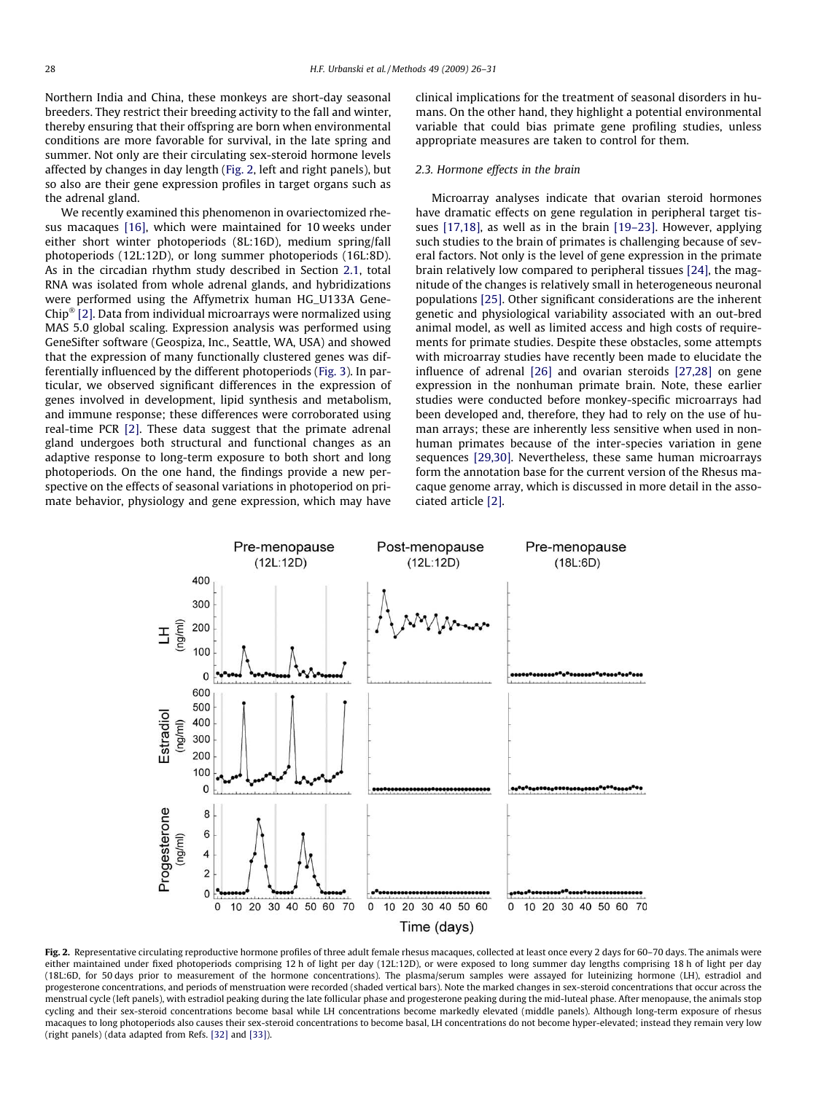<span id="page-2-0"></span>Northern India and China, these monkeys are short-day seasonal breeders. They restrict their breeding activity to the fall and winter, thereby ensuring that their offspring are born when environmental conditions are more favorable for survival, in the late spring and summer. Not only are their circulating sex-steroid hormone levels affected by changes in day length (Fig. 2, left and right panels), but so also are their gene expression profiles in target organs such as the adrenal gland.

We recently examined this phenomenon in ovariectomized rhesus macaques [\[16\],](#page-4-0) which were maintained for 10 weeks under either short winter photoperiods (8L:16D), medium spring/fall photoperiods (12L:12D), or long summer photoperiods (16L:8D). As in the circadian rhythm study described in Section [2.1,](#page-0-0) total RNA was isolated from whole adrenal glands, and hybridizations were performed using the Affymetrix human HG\_U133A Gene-Chip<sup>®</sup> [\[2\]](#page-4-0). Data from individual microarrays were normalized using MAS 5.0 global scaling. Expression analysis was performed using GeneSifter software (Geospiza, Inc., Seattle, WA, USA) and showed that the expression of many functionally clustered genes was differentially influenced by the different photoperiods [\(Fig. 3](#page-3-0)). In particular, we observed significant differences in the expression of genes involved in development, lipid synthesis and metabolism, and immune response; these differences were corroborated using real-time PCR [\[2\]](#page-4-0). These data suggest that the primate adrenal gland undergoes both structural and functional changes as an adaptive response to long-term exposure to both short and long photoperiods. On the one hand, the findings provide a new perspective on the effects of seasonal variations in photoperiod on primate behavior, physiology and gene expression, which may have clinical implications for the treatment of seasonal disorders in humans. On the other hand, they highlight a potential environmental variable that could bias primate gene profiling studies, unless appropriate measures are taken to control for them.

### 2.3. Hormone effects in the brain

Microarray analyses indicate that ovarian steroid hormones have dramatic effects on gene regulation in peripheral target tissues [\[17,18\]](#page-5-0), as well as in the brain [\[19–23\]](#page-5-0). However, applying such studies to the brain of primates is challenging because of several factors. Not only is the level of gene expression in the primate brain relatively low compared to peripheral tissues [\[24\]](#page-5-0), the magnitude of the changes is relatively small in heterogeneous neuronal populations [\[25\]](#page-5-0). Other significant considerations are the inherent genetic and physiological variability associated with an out-bred animal model, as well as limited access and high costs of requirements for primate studies. Despite these obstacles, some attempts with microarray studies have recently been made to elucidate the influence of adrenal [\[26\]](#page-5-0) and ovarian steroids [\[27,28\]](#page-5-0) on gene expression in the nonhuman primate brain. Note, these earlier studies were conducted before monkey-specific microarrays had been developed and, therefore, they had to rely on the use of human arrays; these are inherently less sensitive when used in nonhuman primates because of the inter-species variation in gene sequences [\[29,30\].](#page-5-0) Nevertheless, these same human microarrays form the annotation base for the current version of the Rhesus macaque genome array, which is discussed in more detail in the associated article [\[2\]](#page-4-0).



Fig. 2. Representative circulating reproductive hormone profiles of three adult female rhesus macaques, collected at least once every 2 days for 60-70 days. The animals were either maintained under fixed photoperiods comprising 12 h of light per day (12L:12D), or were exposed to long summer day lengths comprising 18 h of light per day (18L:6D, for 50 days prior to measurement of the hormone concentrations). The plasma/serum samples were assayed for luteinizing hormone (LH), estradiol and progesterone concentrations, and periods of menstruation were recorded (shaded vertical bars). Note the marked changes in sex-steroid concentrations that occur across the menstrual cycle (left panels), with estradiol peaking during the late follicular phase and progesterone peaking during the mid-luteal phase. After menopause, the animals stop cycling and their sex-steroid concentrations become basal while LH concentrations become markedly elevated (middle panels). Although long-term exposure of rhesus macaques to long photoperiods also causes their sex-steroid concentrations to become basal, LH concentrations do not become hyper-elevated; instead they remain very low (right panels) (data adapted from Refs. [\[32\]](#page-5-0) and [\[33\]](#page-5-0)).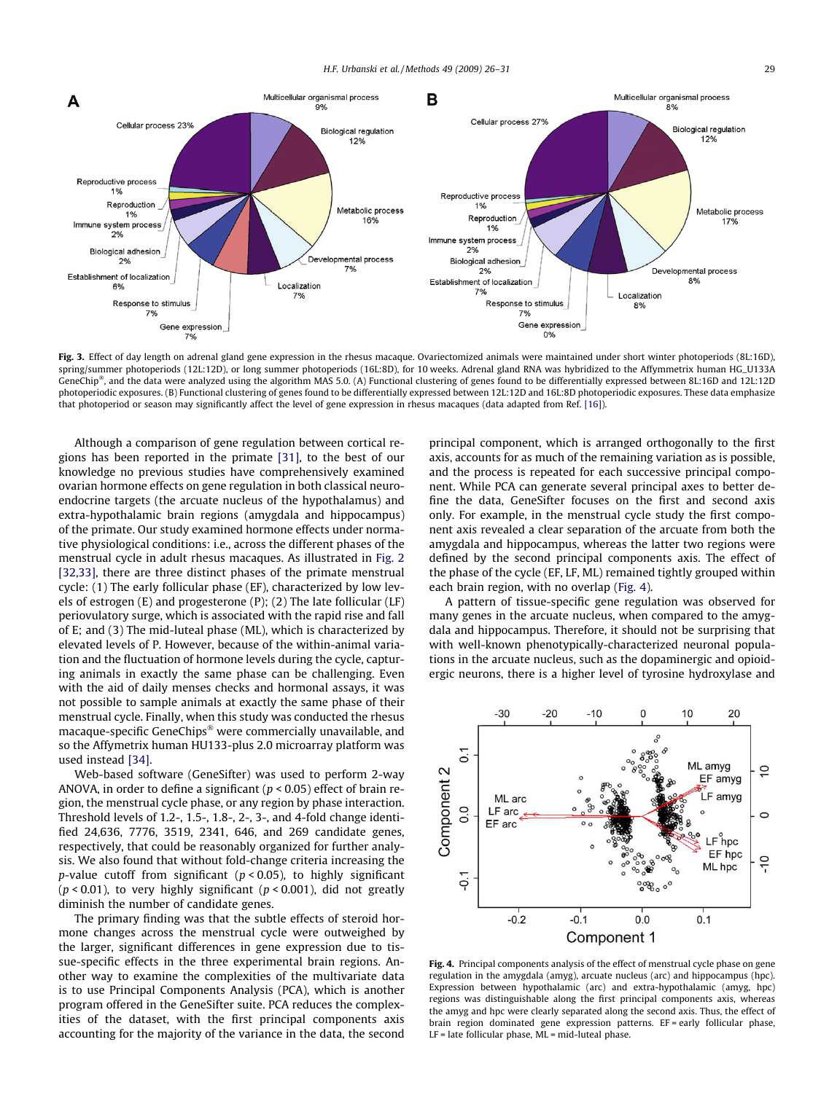<span id="page-3-0"></span>

Fig. 3. Effect of day length on adrenal gland gene expression in the rhesus macaque. Ovariectomized animals were maintained under short winter photoperiods (8L:16D), spring/summer photoperiods (12L:12D), or long summer photoperiods (16L:8D), for 10 weeks. Adrenal gland RNA was hybridized to the Affymmetrix human HG\_U133A GeneChip®, and the data were analyzed using the algorithm MAS 5.0. (A) Functional clustering of genes found to be differentially expressed between 8L:16D and 12L:12D photoperiodic exposures. (B) Functional clustering of genes found to be differentially expressed between 12L:12D and 16L:8D photoperiodic exposures. These data emphasize that photoperiod or season may significantly affect the level of gene expression in rhesus macaques (data adapted from Ref. [\[16\]\)](#page-4-0).

Although a comparison of gene regulation between cortical regions has been reported in the primate [\[31\]](#page-5-0), to the best of our knowledge no previous studies have comprehensively examined ovarian hormone effects on gene regulation in both classical neuroendocrine targets (the arcuate nucleus of the hypothalamus) and extra-hypothalamic brain regions (amygdala and hippocampus) of the primate. Our study examined hormone effects under normative physiological conditions: i.e., across the different phases of the menstrual cycle in adult rhesus macaques. As illustrated in [Fig. 2](#page-2-0) [\[32,33\]](#page-5-0), there are three distinct phases of the primate menstrual cycle: (1) The early follicular phase (EF), characterized by low levels of estrogen (E) and progesterone (P); (2) The late follicular (LF) periovulatory surge, which is associated with the rapid rise and fall of E; and (3) The mid-luteal phase (ML), which is characterized by elevated levels of P. However, because of the within-animal variation and the fluctuation of hormone levels during the cycle, capturing animals in exactly the same phase can be challenging. Even with the aid of daily menses checks and hormonal assays, it was not possible to sample animals at exactly the same phase of their menstrual cycle. Finally, when this study was conducted the rhesus macaque-specific GeneChips<sup>®</sup> were commercially unavailable, and so the Affymetrix human HU133-plus 2.0 microarray platform was used instead [\[34\].](#page-5-0)

Web-based software (GeneSifter) was used to perform 2-way ANOVA, in order to define a significant ( $p < 0.05$ ) effect of brain region, the menstrual cycle phase, or any region by phase interaction. Threshold levels of 1.2-, 1.5-, 1.8-, 2-, 3-, and 4-fold change identified 24,636, 7776, 3519, 2341, 646, and 269 candidate genes, respectively, that could be reasonably organized for further analysis. We also found that without fold-change criteria increasing the p-value cutoff from significant ( $p < 0.05$ ), to highly significant ( $p$  < 0.01), to very highly significant ( $p$  < 0.001), did not greatly diminish the number of candidate genes.

The primary finding was that the subtle effects of steroid hormone changes across the menstrual cycle were outweighed by the larger, significant differences in gene expression due to tissue-specific effects in the three experimental brain regions. Another way to examine the complexities of the multivariate data is to use Principal Components Analysis (PCA), which is another program offered in the GeneSifter suite. PCA reduces the complexities of the dataset, with the first principal components axis accounting for the majority of the variance in the data, the second principal component, which is arranged orthogonally to the first axis, accounts for as much of the remaining variation as is possible, and the process is repeated for each successive principal component. While PCA can generate several principal axes to better define the data, GeneSifter focuses on the first and second axis only. For example, in the menstrual cycle study the first component axis revealed a clear separation of the arcuate from both the amygdala and hippocampus, whereas the latter two regions were defined by the second principal components axis. The effect of the phase of the cycle (EF, LF, ML) remained tightly grouped within each brain region, with no overlap (Fig. 4).

A pattern of tissue-specific gene regulation was observed for many genes in the arcuate nucleus, when compared to the amygdala and hippocampus. Therefore, it should not be surprising that with well-known phenotypically-characterized neuronal populations in the arcuate nucleus, such as the dopaminergic and opioidergic neurons, there is a higher level of tyrosine hydroxylase and



Fig. 4. Principal components analysis of the effect of menstrual cycle phase on gene regulation in the amygdala (amyg), arcuate nucleus (arc) and hippocampus (hpc). Expression between hypothalamic (arc) and extra-hypothalamic (amyg, hpc) regions was distinguishable along the first principal components axis, whereas the amyg and hpc were clearly separated along the second axis. Thus, the effect of brain region dominated gene expression patterns. EF = early follicular phase, LF = late follicular phase, ML = mid-luteal phase.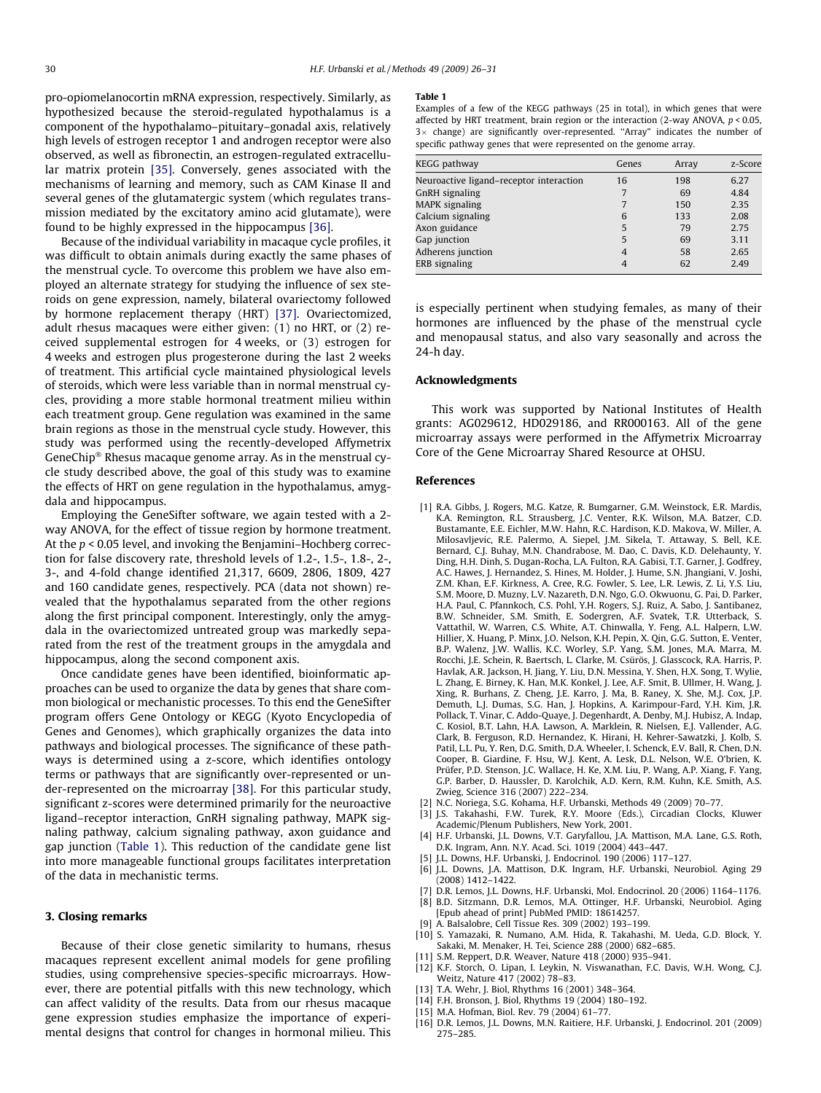<span id="page-4-0"></span>pro-opiomelanocortin mRNA expression, respectively. Similarly, as hypothesized because the steroid-regulated hypothalamus is a component of the hypothalamo–pituitary–gonadal axis, relatively high levels of estrogen receptor 1 and androgen receptor were also observed, as well as fibronectin, an estrogen-regulated extracellular matrix protein [\[35\].](#page-5-0) Conversely, genes associated with the mechanisms of learning and memory, such as CAM Kinase II and several genes of the glutamatergic system (which regulates transmission mediated by the excitatory amino acid glutamate), were found to be highly expressed in the hippocampus [\[36\]](#page-5-0).

Because of the individual variability in macaque cycle profiles, it was difficult to obtain animals during exactly the same phases of the menstrual cycle. To overcome this problem we have also employed an alternate strategy for studying the influence of sex steroids on gene expression, namely, bilateral ovariectomy followed by hormone replacement therapy (HRT) [\[37\]](#page-5-0). Ovariectomized, adult rhesus macaques were either given: (1) no HRT, or (2) received supplemental estrogen for 4 weeks, or (3) estrogen for 4 weeks and estrogen plus progesterone during the last 2 weeks of treatment. This artificial cycle maintained physiological levels of steroids, which were less variable than in normal menstrual cycles, providing a more stable hormonal treatment milieu within each treatment group. Gene regulation was examined in the same brain regions as those in the menstrual cycle study. However, this study was performed using the recently-developed Affymetrix GeneChip<sup>®</sup> Rhesus macaque genome array. As in the menstrual cycle study described above, the goal of this study was to examine the effects of HRT on gene regulation in the hypothalamus, amygdala and hippocampus.

Employing the GeneSifter software, we again tested with a 2 way ANOVA, for the effect of tissue region by hormone treatment. At the p < 0.05 level, and invoking the Benjamini–Hochberg correction for false discovery rate, threshold levels of 1.2-, 1.5-, 1.8-, 2-, 3-, and 4-fold change identified 21,317, 6609, 2806, 1809, 427 and 160 candidate genes, respectively. PCA (data not shown) revealed that the hypothalamus separated from the other regions along the first principal component. Interestingly, only the amygdala in the ovariectomized untreated group was markedly separated from the rest of the treatment groups in the amygdala and hippocampus, along the second component axis.

Once candidate genes have been identified, bioinformatic approaches can be used to organize the data by genes that share common biological or mechanistic processes. To this end the GeneSifter program offers Gene Ontology or KEGG (Kyoto Encyclopedia of Genes and Genomes), which graphically organizes the data into pathways and biological processes. The significance of these pathways is determined using a z-score, which identifies ontology terms or pathways that are significantly over-represented or under-represented on the microarray [\[38\]](#page-5-0). For this particular study, significant z-scores were determined primarily for the neuroactive ligand–receptor interaction, GnRH signaling pathway, MAPK signaling pathway, calcium signaling pathway, axon guidance and gap junction (Table 1). This reduction of the candidate gene list into more manageable functional groups facilitates interpretation of the data in mechanistic terms.

#### 3. Closing remarks

Because of their close genetic similarity to humans, rhesus macaques represent excellent animal models for gene profiling studies, using comprehensive species-specific microarrays. However, there are potential pitfalls with this new technology, which can affect validity of the results. Data from our rhesus macaque gene expression studies emphasize the importance of experimental designs that control for changes in hormonal milieu. This

#### Table 1

Examples of a few of the KEGG pathways (25 in total), in which genes that were affected by HRT treatment, brain region or the interaction (2-way ANOVA,  $p < 0.05$ ,  $3\times$  change) are significantly over-represented. "Array" indicates the number of specific pathway genes that were represented on the genome array.

| KEGG pathway                            | Genes | Array | z-Score |
|-----------------------------------------|-------|-------|---------|
| Neuroactive ligand-receptor interaction | 16    | 198   | 6.27    |
| GnRH signaling                          |       | 69    | 4.84    |
| <b>MAPK</b> signaling                   |       | 150   | 2.35    |
| Calcium signaling                       | 6     | 133   | 2.08    |
| Axon guidance                           | 5     | 79    | 2.75    |
| Gap junction                            | 5     | 69    | 3.11    |
| Adherens junction                       | 4     | 58    | 2.65    |
| ERB signaling                           |       | 62    | 2.49    |

is especially pertinent when studying females, as many of their hormones are influenced by the phase of the menstrual cycle and menopausal status, and also vary seasonally and across the 24-h day.

#### Acknowledgments

This work was supported by National Institutes of Health grants: AG029612, HD029186, and RR000163. All of the gene microarray assays were performed in the Affymetrix Microarray Core of the Gene Microarray Shared Resource at OHSU.

#### References

- [1] R.A. Gibbs, J. Rogers, M.G. Katze, R. Bumgarner, G.M. Weinstock, E.R. Mardis, K.A. Remington, R.L. Strausberg, J.C. Venter, R.K. Wilson, M.A. Batzer, C.D. Bustamante, E.E. Eichler, M.W. Hahn, R.C. Hardison, K.D. Makova, W. Miller, A. Milosavljevic, R.E. Palermo, A. Siepel, J.M. Sikela, T. Attaway, S. Bell, K.E. Bernard, C.J. Buhay, M.N. Chandrabose, M. Dao, C. Davis, K.D. Delehaunty, Y. Ding, H.H. Dinh, S. Dugan-Rocha, L.A. Fulton, R.A. Gabisi, T.T. Garner, J. Godfrey, A.C. Hawes, J. Hernandez, S. Hines, M. Holder, J. Hume, S.N. Jhangiani, V. Joshi, Z.M. Khan, E.F. Kirkness, A. Cree, R.G. Fowler, S. Lee, L.R. Lewis, Z. Li, Y.S. Liu, S.M. Moore, D. Muzny, L.V. Nazareth, D.N. Ngo, G.O. Okwuonu, G. Pai, D. Parker, H.A. Paul, C. Pfannkoch, C.S. Pohl, Y.H. Rogers, S.J. Ruiz, A. Sabo, J. Santibanez, B.W. Schneider, S.M. Smith, E. Sodergren, A.F. Svatek, T.R. Utterback, S. Vattathil, W. Warren, C.S. White, A.T. Chinwalla, Y. Feng, A.L. Halpern, L.W. Hillier, X. Huang, P. Minx, J.O. Nelson, K.H. Pepin, X. Qin, G.G. Sutton, E. Venter, B.P. Walenz, J.W. Wallis, K.C. Worley, S.P. Yang, S.M. Jones, M.A. Marra, M. Rocchi, J.E. Schein, R. Baertsch, L. Clarke, M. Csürös, J. Glasscock, R.A. Harris, P. Havlak, A.R. Jackson, H. Jiang, Y. Liu, D.N. Messina, Y. Shen, H.X. Song, T. Wylie, L. Zhang, E. Birney, K. Han, M.K. Konkel, J. Lee, A.F. Smit, B. Ullmer, H. Wang, J. Xing, R. Burhans, Z. Cheng, J.E. Karro, J. Ma, B. Raney, X. She, M.J. Cox, J.P. Demuth, L.J. Dumas, S.G. Han, J. Hopkins, A. Karimpour-Fard, Y.H. Kim, J.R. Pollack, T. Vinar, C. Addo-Quaye, J. Degenhardt, A. Denby, M.J. Hubisz, A. Indap, C. Kosiol, B.T. Lahn, H.A. Lawson, A. Marklein, R. Nielsen, E.J. Vallender, A.G. Clark, B. Ferguson, R.D. Hernandez, K. Hirani, H. Kehrer-Sawatzki, J. Kolb, S. Patil, L.L. Pu, Y. Ren, D.G. Smith, D.A. Wheeler, I. Schenck, E.V. Ball, R. Chen, D.N. Cooper, B. Giardine, F. Hsu, W.J. Kent, A. Lesk, D.L. Nelson, W.E. O'brien, K. Prüfer, P.D. Stenson, J.C. Wallace, H. Ke, X.M. Liu, P. Wang, A.P. Xiang, F. Yang, G.P. Barber, D. Haussler, D. Karolchik, A.D. Kern, R.M. Kuhn, K.E. Smith, A.S. Zwieg, Science 316 (2007) 222–234.
- [2] N.C. Noriega, S.G. Kohama, H.F. Urbanski, Methods 49 (2009) 70–77.
- [3] J.S. Takahashi, F.W. Turek, R.Y. Moore (Eds.), Circadian Clocks, Kluwer Academic/Plenum Publishers, New York, 2001.
- [4] H.F. Urbanski, J.L. Downs, V.T. Garyfallou, J.A. Mattison, M.A. Lane, G.S. Roth, D.K. Ingram, Ann. N.Y. Acad. Sci. 1019 (2004) 443–447.
- J.L. Downs, H.F. Urbanski, J. Endocrinol. 190 (2006) 117-127.
- [6] J.L. Downs, J.A. Mattison, D.K. Ingram, H.F. Urbanski, Neurobiol. Aging 29 (2008) 1412–1422.
- [7] D.R. Lemos, J.L. Downs, H.F. Urbanski, Mol. Endocrinol. 20 (2006) 1164–1176.
- [8] B.D. Sitzmann, D.R. Lemos, M.A. Ottinger, H.F. Urbanski, Neurobiol. Aging [Epub ahead of print] PubMed PMID: 18614257.
- [9] A. Balsalobre, Cell Tissue Res. 309 (2002) 193–199.
- [10] S. Yamazaki, R. Numano, A.M. Hida, R. Takahashi, M. Ueda, G.D. Block, Y. Sakaki, M. Menaker, H. Tei, Science 288 (2000) 682–685.
- [11] S.M. Reppert, D.R. Weaver, Nature 418 (2000) 935–941.
- [12] K.F. Storch, O. Lipan, I. Leykin, N. Viswanathan, F.C. Davis, W.H. Wong, C.J. Weitz, Nature 417 (2002) 78–83.
- [13] T.A. Wehr, J. Biol, Rhythms 16 (2001) 348–364.
- [14] F.H. Bronson, J. Biol, Rhythms 19 (2004) 180–192.
- [15] M.A. Hofman, Biol. Rev. 79 (2004) 61–77.
- [16] D.R. Lemos, J.L. Downs, M.N. Raitiere, H.F. Urbanski, J. Endocrinol. 201 (2009) 275–285.